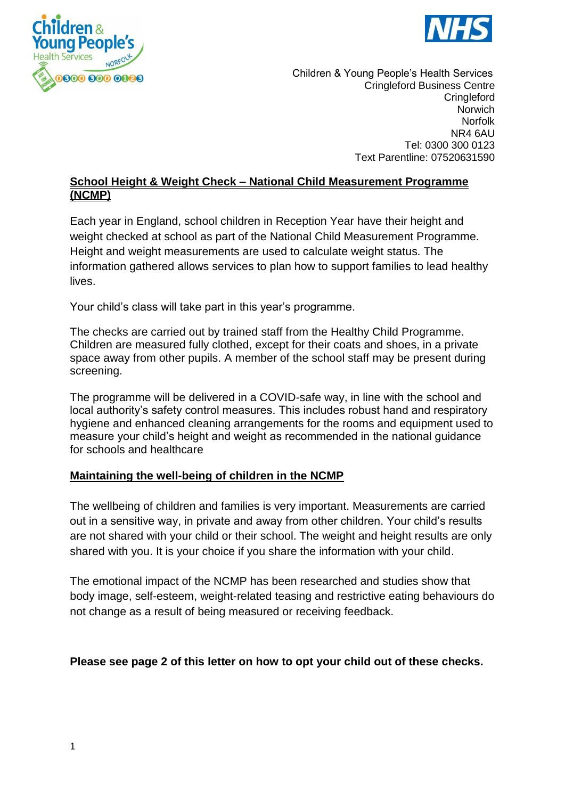



 Children & Young People's Health Services Cringleford Business Centre **Cringleford** Norwich Norfolk NR4 6AU Tel: 0300 300 0123 Text Parentline: 07520631590

# **School Height & Weight Check – National Child Measurement Programme (NCMP)**

Each year in England, school children in Reception Year have their height and weight checked at school as part of the National Child Measurement Programme. Height and weight measurements are used to calculate weight status. The information gathered allows services to plan how to support families to lead healthy lives.

Your child's class will take part in this year's programme.

The checks are carried out by trained staff from the Healthy Child Programme. Children are measured fully clothed, except for their coats and shoes, in a private space away from other pupils. A member of the school staff may be present during screening.

The programme will be delivered in a COVID-safe way, in line with the school and local authority's safety control measures. This includes robust hand and respiratory hygiene and enhanced cleaning arrangements for the rooms and equipment used to measure your child's height and weight as recommended in the national guidance for schools and healthcare

# **Maintaining the well-being of children in the NCMP**

The wellbeing of children and families is very important. Measurements are carried out in a sensitive way, in private and away from other children. Your child's results are not shared with your child or their school. The weight and height results are only shared with you. It is your choice if you share the information with your child.

The emotional impact of the NCMP has been researched and studies show that body image, self-esteem, weight-related teasing and restrictive eating behaviours do not change as a result of being measured or receiving feedback.

#### **Please see page 2 of this letter on how to opt your child out of these checks.**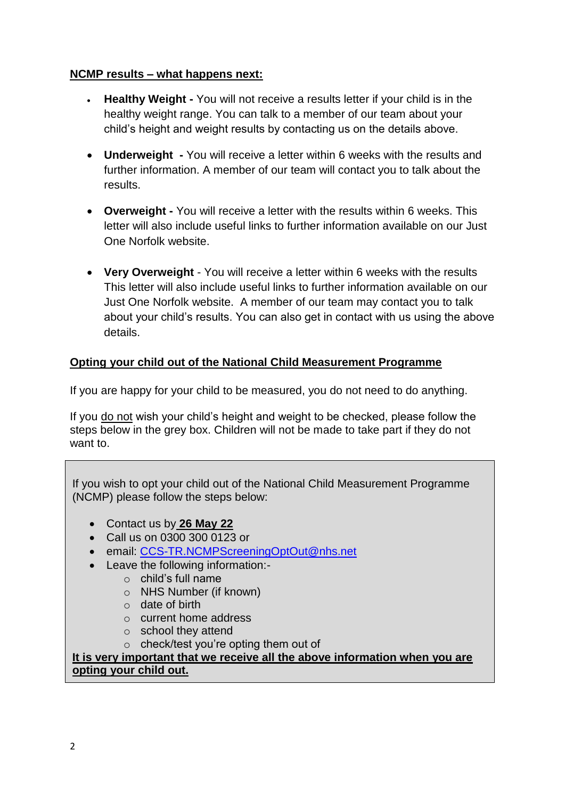# **NCMP results – what happens next:**

- **Healthy Weight -** You will not receive a results letter if your child is in the healthy weight range. You can talk to a member of our team about your child's height and weight results by contacting us on the details above.
- **Underweight -** You will receive a letter within 6 weeks with the results and further information. A member of our team will contact you to talk about the results.
- **Overweight -** You will receive a letter with the results within 6 weeks. This letter will also include useful links to further information available on our Just One Norfolk website.
- **Very Overweight** You will receive a letter within 6 weeks with the results This letter will also include useful links to further information available on our Just One Norfolk website. A member of our team may contact you to talk about your child's results. You can also get in contact with us using the above details.

# **Opting your child out of the National Child Measurement Programme**

If you are happy for your child to be measured, you do not need to do anything.

If you do not wish your child's height and weight to be checked, please follow the steps below in the grey box. Children will not be made to take part if they do not want to.

If you wish to opt your child out of the National Child Measurement Programme (NCMP) please follow the steps below:

- Contact us by **26 May 22**
- Call us on 0300 300 0123 or
- email: [CCS-TR.NCMPScreeningOptOut@nhs.net](mailto:CCS-TR.NCMPScreeningOptOut@nhs.net)
- Leave the following information:
	- o child's full name
	- o NHS Number (if known)
	- o date of birth
	- o current home address
	- o school they attend
	- o check/test you're opting them out of

**It is very important that we receive all the above information when you are opting your child out.**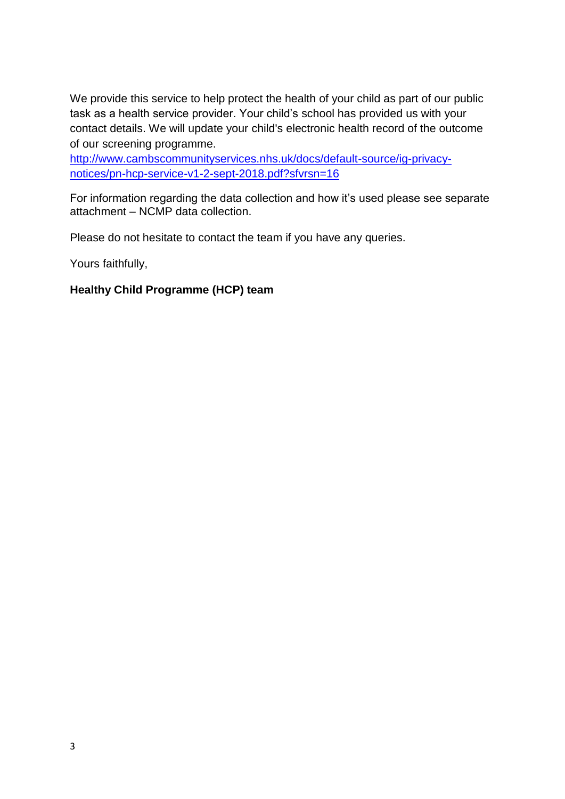We provide this service to help protect the health of your child as part of our public task as a health service provider. Your child's school has provided us with your contact details. We will update your child's electronic health record of the outcome of our screening programme.

[http://www.cambscommunityservices.nhs.uk/docs/default-source/ig-privacy](http://www.cambscommunityservices.nhs.uk/docs/default-source/ig-privacy-notices/pn-hcp-service-v1-2-sept-2018.pdf?sfvrsn=16)[notices/pn-hcp-service-v1-2-sept-2018.pdf?sfvrsn=16](http://www.cambscommunityservices.nhs.uk/docs/default-source/ig-privacy-notices/pn-hcp-service-v1-2-sept-2018.pdf?sfvrsn=16)

For information regarding the data collection and how it's used please see separate attachment – NCMP data collection.

Please do not hesitate to contact the team if you have any queries.

Yours faithfully,

# **Healthy Child Programme (HCP) team**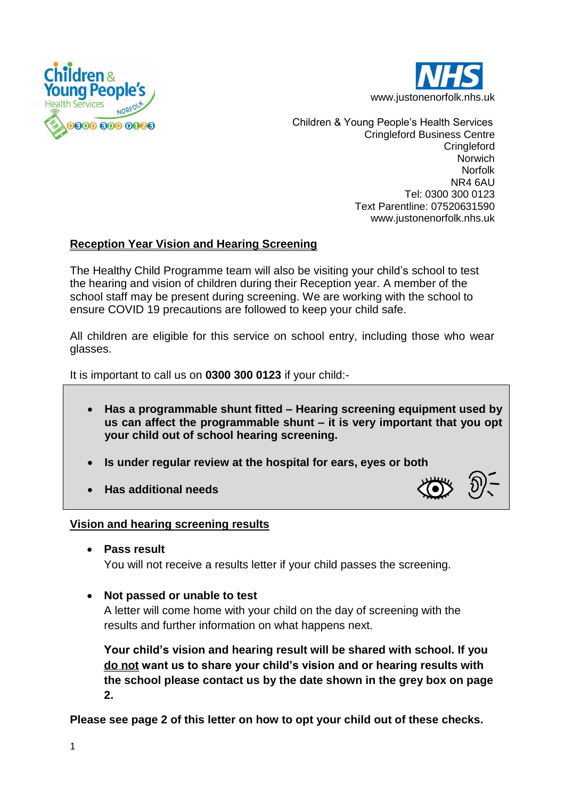



 Children & Young People's Health Services Cringleford Business Centre **Cringleford Norwich** Norfolk NR4 6AU Tel: 0300 300 0123 Text Parentline: 07520631590 www.justonenorfolk.nhs.uk

# **Reception Year Vision and Hearing Screening**

The Healthy Child Programme team will also be visiting your child's school to test the hearing and vision of children during their Reception year. A member of the school staff may be present during screening. We are working with the school to ensure COVID 19 precautions are followed to keep your child safe.

All children are eligible for this service on school entry, including those who wear glasses.

It is important to call us on **0300 300 0123** if your child:-

- **Has a programmable shunt fitted – Hearing screening equipment used by us can affect the programmable shunt – it is very important that you opt your child out of school hearing screening.**
- **Is under regular review at the hospital for ears, eyes or both**
- **Has additional needs**



# **Vision and hearing screening results**

- **Pass result** You will not receive a results letter if your child passes the screening.
- **Not passed or unable to test**

A letter will come home with your child on the day of screening with the results and further information on what happens next.

**Your child's vision and hearing result will be shared with school. If you do not want us to share your child's vision and or hearing results with the school please contact us by the date shown in the grey box on page 2.**

**Please see page 2 of this letter on how to opt your child out of these checks.**